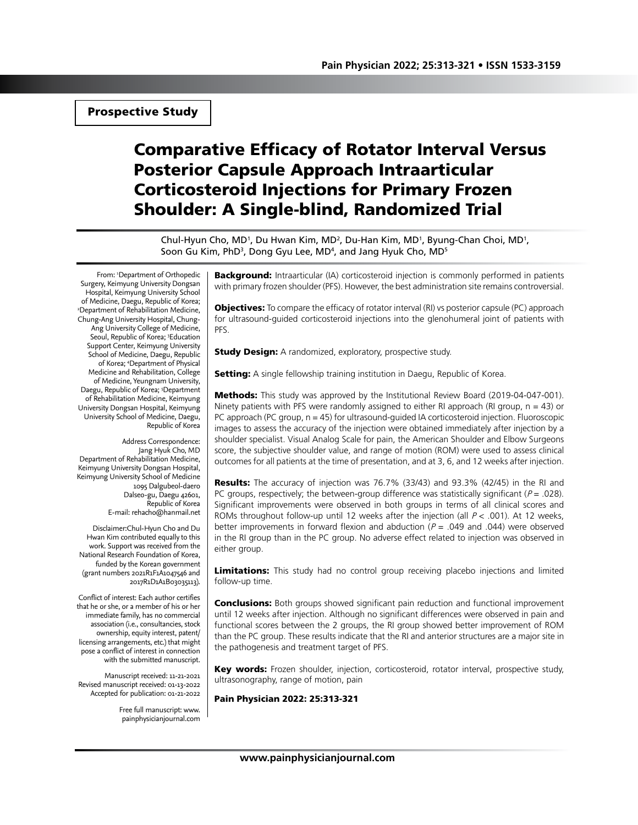Prospective Study

# Comparative Efficacy of Rotator Interval Versus Posterior Capsule Approach Intraarticular Corticosteroid Injections for Primary Frozen Shoulder: A Single-blind, Randomized Trial

Chul-Hyun Cho, MD<sup>1</sup>, Du Hwan Kim, MD<sup>2</sup>, Du-Han Kim, MD<sup>1</sup>, Byung-Chan Choi, MD<sup>1</sup>, Soon Gu Kim, PhD<sup>3</sup>, Dong Gyu Lee, MD<sup>4</sup>, and Jang Hyuk Cho, MD<sup>5</sup>

From: 1 Department of Orthopedic Surgery, Keimyung University Dongsan Hospital, Keimyung University School of Medicine, Daegu, Republic of Korea; 2 Department of Rehabilitation Medicine, Chung-Ang University Hospital, Chung-Ang University College of Medicine, Seoul, Republic of Korea; 3 Education Support Center, Keimyung University School of Medicine, Daegu, Republic of Korea; 4 Department of Physical Medicine and Rehabilitation, College of Medicine, Yeungnam University, Daegu, Republic of Korea; <sup>5</sup>Department of Rehabilitation Medicine, Keimyung University Dongsan Hospital, Keimyung University School of Medicine, Daegu, Republic of Korea

Address Correspondence: Jang Hyuk Cho, MD Department of Rehabilitation Medicine, Keimyung University Dongsan Hospital, Keimyung University School of Medicine 1095 Dalgubeol-daero Dalseo-gu, Daegu 42601, Republic of Korea E-mail: rehacho@hanmail.net

Disclaimer:Chul-Hyun Cho and Du Hwan Kim contributed equally to this work. Support was received from the National Research Foundation of Korea, funded by the Korean government (grant numbers 2021R1F1A1047546 and 2017R1D1A1B03035113).

Conflict of interest: Each author certifies that he or she, or a member of his or her immediate family, has no commercial association (i.e., consultancies, stock ownership, equity interest, patent/ licensing arrangements, etc.) that might pose a conflict of interest in connection with the submitted manuscript.

Manuscript received: 11-21-2021 Revised manuscript received: 01-13-2022 Accepted for publication: 01-21-2022

> Free full manuscript: www. painphysicianjournal.com

**Background:** Intraarticular (IA) corticosteroid injection is commonly performed in patients with primary frozen shoulder (PFS). However, the best administration site remains controversial.

**Objectives:** To compare the efficacy of rotator interval (RI) vs posterior capsule (PC) approach for ultrasound-guided corticosteroid injections into the glenohumeral joint of patients with PFS.

**Study Design:** A randomized, exploratory, prospective study.

**Setting:** A single fellowship training institution in Daegu, Republic of Korea.

**Methods:** This study was approved by the Institutional Review Board (2019-04-047-001). Ninety patients with PFS were randomly assigned to either RI approach (RI group,  $n = 43$ ) or PC approach (PC group, n = 45) for ultrasound-guided IA corticosteroid injection. Fluoroscopic images to assess the accuracy of the injection were obtained immediately after injection by a shoulder specialist. Visual Analog Scale for pain, the American Shoulder and Elbow Surgeons score, the subjective shoulder value, and range of motion (ROM) were used to assess clinical outcomes for all patients at the time of presentation, and at 3, 6, and 12 weeks after injection.

Results: The accuracy of injection was 76.7% (33/43) and 93.3% (42/45) in the RI and PC groups, respectively; the between-group difference was statistically significant ( $P = .028$ ). Significant improvements were observed in both groups in terms of all clinical scores and ROMs throughout follow-up until 12 weeks after the injection (all  $P < .001$ ). At 12 weeks, better improvements in forward flexion and abduction ( $P = .049$  and .044) were observed in the RI group than in the PC group. No adverse effect related to injection was observed in either group.

Limitations: This study had no control group receiving placebo injections and limited follow-up time.

**Conclusions:** Both groups showed significant pain reduction and functional improvement until 12 weeks after injection. Although no significant differences were observed in pain and functional scores between the 2 groups, the RI group showed better improvement of ROM than the PC group. These results indicate that the RI and anterior structures are a major site in the pathogenesis and treatment target of PFS.

Key words: Frozen shoulder, injection, corticosteroid, rotator interval, prospective study, ultrasonography, range of motion, pain

Pain Physician 2022: 25:313-321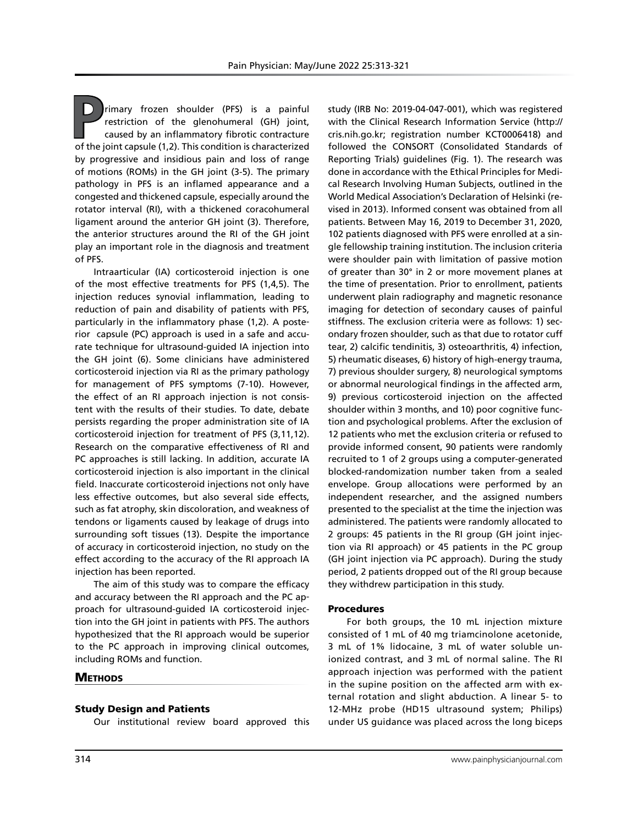**P**rimary frozen shoulder (PFS) is a painful restriction of the glenohumeral (GH) joint, caused by an inflammatory fibrotic contracture of the joint capsule (1,2). This condition is characterized by progressive and insidious pain and loss of range of motions (ROMs) in the GH joint (3-5). The primary pathology in PFS is an inflamed appearance and a congested and thickened capsule, especially around the rotator interval (RI), with a thickened coracohumeral ligament around the anterior GH joint (3). Therefore, the anterior structures around the RI of the GH joint play an important role in the diagnosis and treatment of PFS.

Intraarticular (IA) corticosteroid injection is one of the most effective treatments for PFS (1,4,5). The injection reduces synovial inflammation, leading to reduction of pain and disability of patients with PFS, particularly in the inflammatory phase (1,2). A posterior capsule (PC) approach is used in a safe and accurate technique for ultrasound-guided IA injection into the GH joint (6). Some clinicians have administered corticosteroid injection via RI as the primary pathology for management of PFS symptoms (7-10). However, the effect of an RI approach injection is not consistent with the results of their studies. To date, debate persists regarding the proper administration site of IA corticosteroid injection for treatment of PFS (3,11,12). Research on the comparative effectiveness of RI and PC approaches is still lacking. In addition, accurate IA corticosteroid injection is also important in the clinical field. Inaccurate corticosteroid injections not only have less effective outcomes, but also several side effects, such as fat atrophy, skin discoloration, and weakness of tendons or ligaments caused by leakage of drugs into surrounding soft tissues (13). Despite the importance of accuracy in corticosteroid injection, no study on the effect according to the accuracy of the RI approach IA injection has been reported.

The aim of this study was to compare the efficacy and accuracy between the RI approach and the PC approach for ultrasound-guided IA corticosteroid injection into the GH joint in patients with PFS. The authors hypothesized that the RI approach would be superior to the PC approach in improving clinical outcomes, including ROMs and function.

# **METHODS**

#### Study Design and Patients

Our institutional review board approved this

study (IRB No: 2019-04-047-001), which was registered with the Clinical Research Information Service (http:// cris.nih.go.kr; registration number KCT0006418) and followed the CONSORT (Consolidated Standards of Reporting Trials) guidelines (Fig. 1). The research was done in accordance with the Ethical Principles for Medical Research Involving Human Subjects, outlined in the World Medical Association's Declaration of Helsinki (revised in 2013). Informed consent was obtained from all patients. Between May 16, 2019 to December 31, 2020, 102 patients diagnosed with PFS were enrolled at a single fellowship training institution. The inclusion criteria were shoulder pain with limitation of passive motion of greater than 30° in 2 or more movement planes at the time of presentation. Prior to enrollment, patients underwent plain radiography and magnetic resonance imaging for detection of secondary causes of painful stiffness. The exclusion criteria were as follows: 1) secondary frozen shoulder, such as that due to rotator cuff tear, 2) calcific tendinitis, 3) osteoarthritis, 4) infection, 5) rheumatic diseases, 6) history of high-energy trauma, 7) previous shoulder surgery, 8) neurological symptoms or abnormal neurological findings in the affected arm, 9) previous corticosteroid injection on the affected shoulder within 3 months, and 10) poor cognitive function and psychological problems. After the exclusion of 12 patients who met the exclusion criteria or refused to provide informed consent, 90 patients were randomly recruited to 1 of 2 groups using a computer-generated blocked-randomization number taken from a sealed envelope. Group allocations were performed by an independent researcher, and the assigned numbers presented to the specialist at the time the injection was administered. The patients were randomly allocated to 2 groups: 45 patients in the RI group (GH joint injection via RI approach) or 45 patients in the PC group (GH joint injection via PC approach). During the study period, 2 patients dropped out of the RI group because they withdrew participation in this study.

#### Procedures

For both groups, the 10 mL injection mixture consisted of 1 mL of 40 mg triamcinolone acetonide, 3 mL of 1% lidocaine, 3 mL of water soluble unionized contrast, and 3 mL of normal saline. The RI approach injection was performed with the patient in the supine position on the affected arm with external rotation and slight abduction. A linear 5- to 12-MHz probe (HD15 ultrasound system; Philips) under US guidance was placed across the long biceps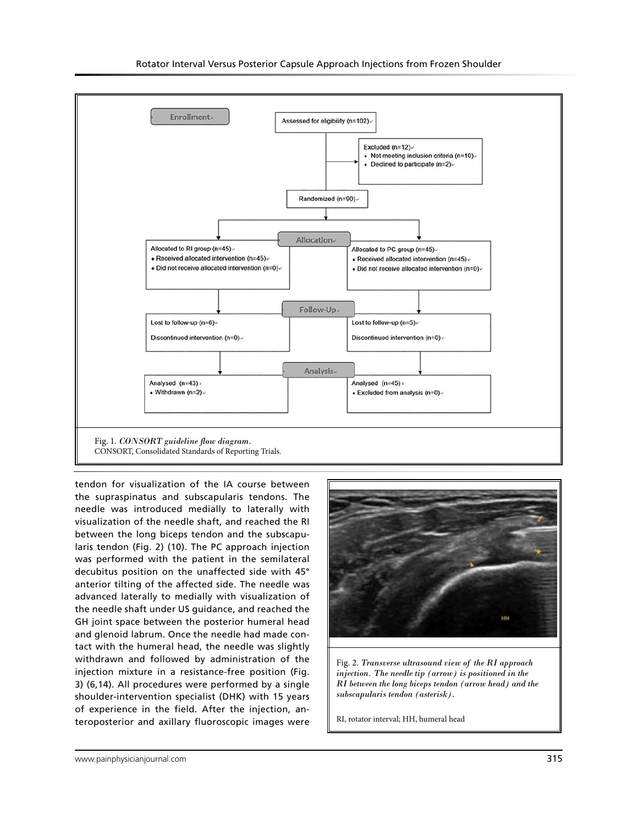

tendon for visualization of the IA course between the supraspinatus and subscapularis tendons. The needle was introduced medially to laterally with visualization of the needle shaft, and reached the RI between the long biceps tendon and the subscapularis tendon (Fig. 2) (10). The PC approach injection was performed with the patient in the semilateral decubitus position on the unaffected side with 45° anterior tilting of the affected side. The needle was advanced laterally to medially with visualization of the needle shaft under US guidance, and reached the GH joint space between the posterior humeral head and glenoid labrum. Once the needle had made contact with the humeral head, the needle was slightly withdrawn and followed by administration of the injection mixture in a resistance-free position (Fig. 3) (6,14). All procedures were performed by a single shoulder-intervention specialist (DHK) with 15 years of experience in the field. After the injection, anteroposterior and axillary fluoroscopic images were



Fig. 2. *Transverse ultrasound view of the RI approach injection. The needle tip (arrow) is positioned in the RI between the long biceps tendon (arrow head) and the subscapularis tendon (asterisk).* 

RI, rotator interval; HH, humeral head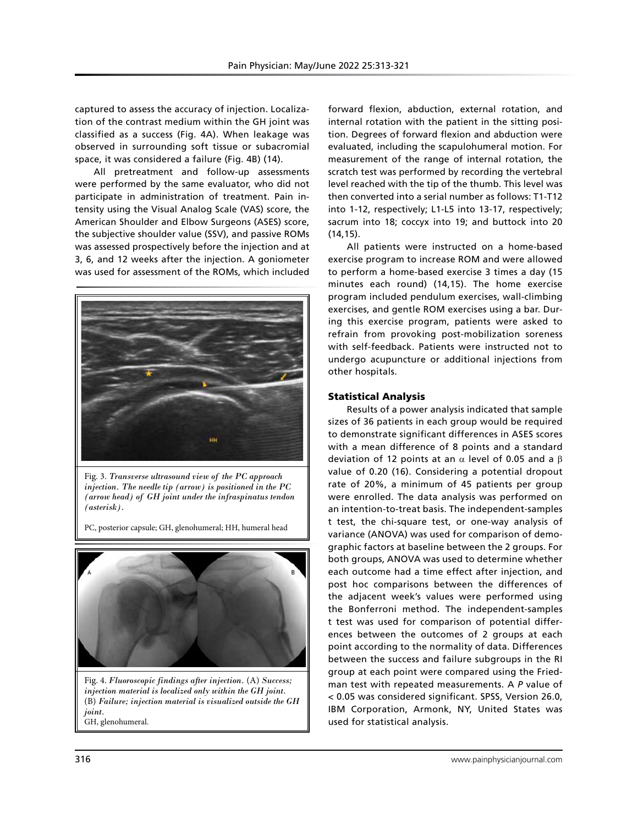captured to assess the accuracy of injection. Localization of the contrast medium within the GH joint was classified as a success (Fig. 4A). When leakage was observed in surrounding soft tissue or subacromial space, it was considered a failure (Fig. 4B) (14).

All pretreatment and follow-up assessments were performed by the same evaluator, who did not participate in administration of treatment. Pain intensity using the Visual Analog Scale (VAS) score, the American Shoulder and Elbow Surgeons (ASES) score, the subjective shoulder value (SSV), and passive ROMs was assessed prospectively before the injection and at 3, 6, and 12 weeks after the injection. A goniometer was used for assessment of the ROMs, which included



Fig. 3. *Transverse ultrasound view of the PC approach injection. The needle tip (arrow) is positioned in the PC (arrow head) of GH joint under the infraspinatus tendon (asterisk).* 

PC, posterior capsule; GH, glenohumeral; HH, humeral head



Fig. 4. *Fluoroscopic findings after injection.* (A) *Success; injection material is localized only within the GH joint.*  (B) *Failure; injection material is visualized outside the GH joint.* GH, glenohumeral.

forward flexion, abduction, external rotation, and internal rotation with the patient in the sitting position. Degrees of forward flexion and abduction were evaluated, including the scapulohumeral motion. For measurement of the range of internal rotation, the scratch test was performed by recording the vertebral level reached with the tip of the thumb. This level was then converted into a serial number as follows: T1-T12 into 1-12, respectively; L1-L5 into 13-17, respectively; sacrum into 18; coccyx into 19; and buttock into 20 (14,15).

All patients were instructed on a home-based exercise program to increase ROM and were allowed to perform a home-based exercise 3 times a day (15 minutes each round) (14,15). The home exercise program included pendulum exercises, wall-climbing exercises, and gentle ROM exercises using a bar. During this exercise program, patients were asked to refrain from provoking post-mobilization soreness with self-feedback. Patients were instructed not to undergo acupuncture or additional injections from other hospitals.

### Statistical Analysis

Results of a power analysis indicated that sample sizes of 36 patients in each group would be required to demonstrate significant differences in ASES scores with a mean difference of 8 points and a standard deviation of 12 points at an  $\alpha$  level of 0.05 and a β value of 0.20 (16). Considering a potential dropout rate of 20%, a minimum of 45 patients per group were enrolled. The data analysis was performed on an intention-to-treat basis. The independent-samples t test, the chi-square test, or one-way analysis of variance (ANOVA) was used for comparison of demographic factors at baseline between the 2 groups. For both groups, ANOVA was used to determine whether each outcome had a time effect after injection, and post hoc comparisons between the differences of the adjacent week's values were performed using the Bonferroni method. The independent-samples t test was used for comparison of potential differences between the outcomes of 2 groups at each point according to the normality of data. Differences between the success and failure subgroups in the RI group at each point were compared using the Friedman test with repeated measurements. A *P* value of < 0.05 was considered significant. SPSS, Version 26.0, IBM Corporation, Armonk, NY, United States was used for statistical analysis.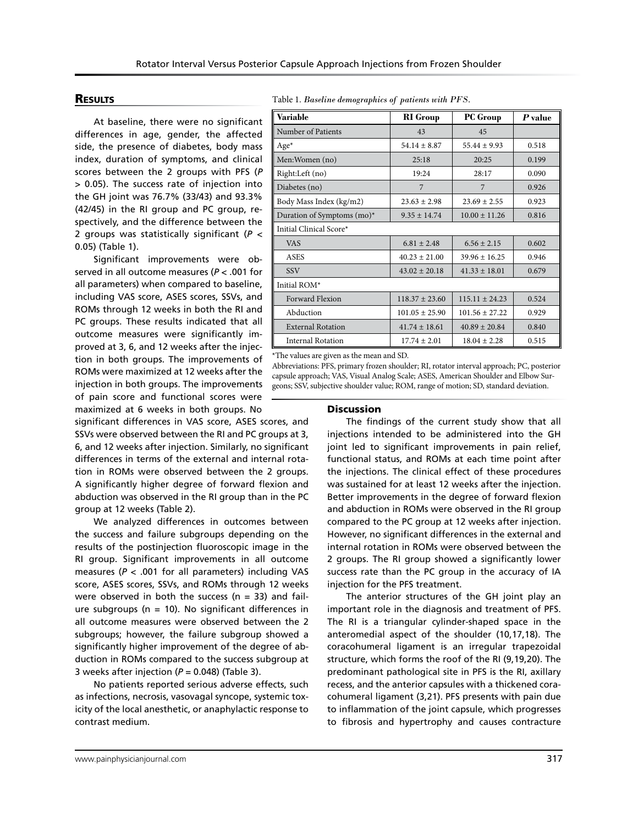# **RESULTS**

At baseline, there were no significant differences in age, gender, the affected side, the presence of diabetes, body mass index, duration of symptoms, and clinical scores between the 2 groups with PFS (*P* > 0.05). The success rate of injection into the GH joint was 76.7% (33/43) and 93.3% (42/45) in the RI group and PC group, respectively, and the difference between the 2 groups was statistically significant (*P* < 0.05) (Table 1).

Significant improvements were observed in all outcome measures (*P* < .001 for all parameters) when compared to baseline, including VAS score, ASES scores, SSVs, and ROMs through 12 weeks in both the RI and PC groups. These results indicated that all outcome measures were significantly improved at 3, 6, and 12 weeks after the injection in both groups. The improvements of ROMs were maximized at 12 weeks after the injection in both groups. The improvements of pain score and functional scores were maximized at 6 weeks in both groups. No

significant differences in VAS score, ASES scores, and SSVs were observed between the RI and PC groups at 3, 6, and 12 weeks after injection. Similarly, no significant differences in terms of the external and internal rotation in ROMs were observed between the 2 groups. A significantly higher degree of forward flexion and abduction was observed in the RI group than in the PC group at 12 weeks (Table 2).

We analyzed differences in outcomes between the success and failure subgroups depending on the results of the postinjection fluoroscopic image in the RI group. Significant improvements in all outcome measures (*P* < .001 for all parameters) including VAS score, ASES scores, SSVs, and ROMs through 12 weeks were observed in both the success ( $n = 33$ ) and failure subgroups ( $n = 10$ ). No significant differences in all outcome measures were observed between the 2 subgroups; however, the failure subgroup showed a significantly higher improvement of the degree of abduction in ROMs compared to the success subgroup at 3 weeks after injection ( $P = 0.048$ ) (Table 3).

No patients reported serious adverse effects, such as infections, necrosis, vasovagal syncope, systemic toxicity of the local anesthetic, or anaphylactic response to contrast medium.

Table 1. *Baseline demographics of patients with PFS.*

| Variable                      | <b>RI</b> Group    | <b>PC</b> Group    | $\boldsymbol{P}$ value |  |  |
|-------------------------------|--------------------|--------------------|------------------------|--|--|
| Number of Patients            | 43                 | 45                 |                        |  |  |
| $Age*$                        | $54.14 + 8.87$     | $55.44 + 9.93$     | 0.518                  |  |  |
| Men: Women (no)               | 25:18              | 20:25              | 0.199                  |  |  |
| Right:Left (no)               | 19:24              | 28:17              | 0.090                  |  |  |
| Diabetes (no)                 | $\overline{7}$     | 7                  | 0.926                  |  |  |
| Body Mass Index (kg/m2)       | $23.63 \pm 2.98$   | $23.69 + 2.55$     | 0.923                  |  |  |
| Duration of Symptoms $(mo)^*$ | $9.35 \pm 14.74$   | $10.00 \pm 11.26$  | 0.816                  |  |  |
| Initial Clinical Score*       |                    |                    |                        |  |  |
| <b>VAS</b>                    | $6.81 + 2.48$      | $6.56 \pm 2.15$    | 0.602                  |  |  |
| <b>ASES</b>                   | $40.23 \pm 21.00$  | $39.96 \pm 16.25$  | 0.946                  |  |  |
| <b>SSV</b>                    | $43.02 \pm 20.18$  | $41.33 \pm 18.01$  | 0.679                  |  |  |
| Initial ROM*                  |                    |                    |                        |  |  |
| <b>Forward Flexion</b>        | $118.37 + 23.60$   | $115.11 \pm 24.23$ | 0.524                  |  |  |
| Abduction                     | $101.05 \pm 25.90$ | $101.56 + 27.22$   | 0.929                  |  |  |
| <b>External Rotation</b>      | $41.74 \pm 18.61$  | $40.89 + 20.84$    | 0.840                  |  |  |
| <b>Internal Rotation</b>      | $17.74 \pm 2.01$   | $18.04 + 2.28$     | 0.515                  |  |  |

\*The values are given as the mean and SD.

Abbreviations: PFS, primary frozen shoulder; RI, rotator interval approach; PC, posterior capsule approach; VAS, Visual Analog Scale; ASES, American Shoulder and Elbow Surgeons; SSV, subjective shoulder value; ROM, range of motion; SD, standard deviation.

#### **Discussion**

The findings of the current study show that all injections intended to be administered into the GH joint led to significant improvements in pain relief, functional status, and ROMs at each time point after the injections. The clinical effect of these procedures was sustained for at least 12 weeks after the injection. Better improvements in the degree of forward flexion and abduction in ROMs were observed in the RI group compared to the PC group at 12 weeks after injection. However, no significant differences in the external and internal rotation in ROMs were observed between the 2 groups. The RI group showed a significantly lower success rate than the PC group in the accuracy of IA injection for the PFS treatment.

The anterior structures of the GH joint play an important role in the diagnosis and treatment of PFS. The RI is a triangular cylinder-shaped space in the anteromedial aspect of the shoulder (10,17,18). The coracohumeral ligament is an irregular trapezoidal structure, which forms the roof of the RI (9,19,20). The predominant pathological site in PFS is the RI, axillary recess, and the anterior capsules with a thickened coracohumeral ligament (3,21). PFS presents with pain due to inflammation of the joint capsule, which progresses to fibrosis and hypertrophy and causes contracture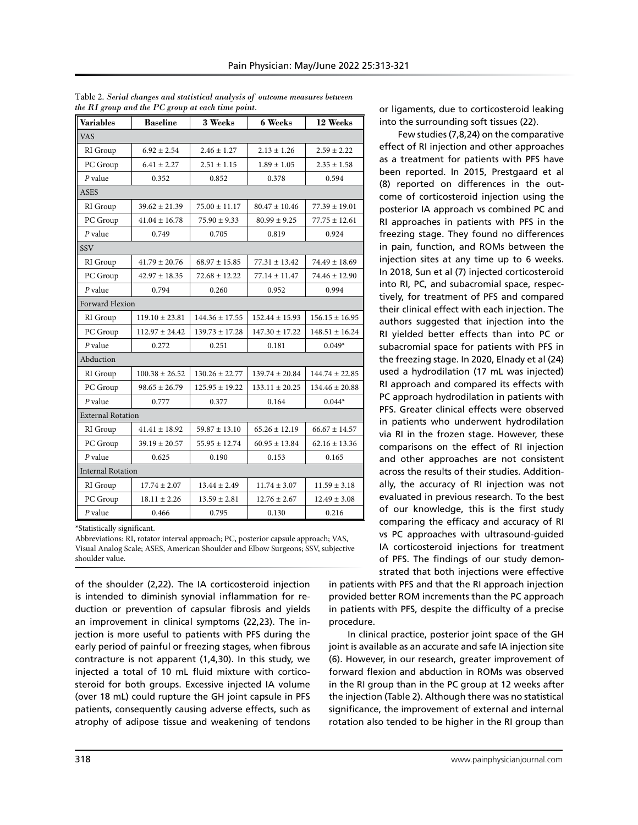| <b>Variables</b>         | <b>Baseline</b>    | 3 Weeks            | <b>6 Weeks</b>     | 12 Weeks           |  |  |  |
|--------------------------|--------------------|--------------------|--------------------|--------------------|--|--|--|
| <b>VAS</b>               |                    |                    |                    |                    |  |  |  |
| RI Group                 | $6.92 \pm 2.54$    | $2.46 \pm 1.27$    | $2.13 \pm 1.26$    | $2.59 \pm 2.22$    |  |  |  |
| PC Group                 | $6.41 \pm 2.27$    | $2.51 \pm 1.15$    | $1.89 \pm 1.05$    | $2.35 \pm 1.58$    |  |  |  |
| $P$ value                | 0.352              | 0.852              | 0.378              | 0.594              |  |  |  |
| <b>ASES</b>              |                    |                    |                    |                    |  |  |  |
| RI Group                 | $39.62 \pm 21.39$  | $75.00 \pm 11.17$  | $80.47 \pm 10.46$  | $77.39 \pm 19.01$  |  |  |  |
| PC Group                 | $41.04 \pm 16.78$  | $75.90 \pm 9.33$   | $80.99 \pm 9.25$   | $77.75 \pm 12.61$  |  |  |  |
| $P$ value                | 0.749              | 0.705              | 0.819              | 0.924              |  |  |  |
| <b>SSV</b>               |                    |                    |                    |                    |  |  |  |
| RI Group                 | $41.79 \pm 20.76$  | $68.97 \pm 15.85$  | $77.31 \pm 13.42$  | $74.49 \pm 18.69$  |  |  |  |
| PC Group                 | $42.97 \pm 18.35$  | $72.68 \pm 12.22$  | $77.14 \pm 11.47$  | $74.46 \pm 12.90$  |  |  |  |
| $P$ value                | 0.794              | 0.260              | 0.952              | 0.994              |  |  |  |
| Forward Flexion          |                    |                    |                    |                    |  |  |  |
| RI Group                 | $119.10 \pm 23.81$ | $144.36 \pm 17.55$ | $152.44 \pm 15.93$ | $156.15 \pm 16.95$ |  |  |  |
| PC Group                 | $112.97 + 24.42$   | $139.73 + 17.28$   | $147.30 \pm 17.22$ | $148.51 \pm 16.24$ |  |  |  |
| $P$ value                | 0.272              | 0.251              | 0.181              | $0.049*$           |  |  |  |
| Abduction                |                    |                    |                    |                    |  |  |  |
| RI Group                 | $100.38 \pm 26.52$ | $130.26 \pm 22.77$ | $139.74 \pm 20.84$ | $144.74 \pm 22.85$ |  |  |  |
| PC Group                 | $98.65 \pm 26.79$  | $125.95 \pm 19.22$ | $133.11 \pm 20.25$ | $134.46 \pm 20.88$ |  |  |  |
| $P$ value                | 0.777              | 0.377              | 0.164              | $0.044*$           |  |  |  |
| <b>External Rotation</b> |                    |                    |                    |                    |  |  |  |
| RI Group                 | $41.41 \pm 18.92$  | $59.87 \pm 13.10$  | $65.26 \pm 12.19$  | $66.67 \pm 14.57$  |  |  |  |
| PC Group                 | $39.19 \pm 20.57$  | $55.95 + 12.74$    | $60.95 \pm 13.84$  | $62.16 \pm 13.36$  |  |  |  |
| $P$ value                | 0.625              | 0.190              | 0.153              | 0.165              |  |  |  |
| <b>Internal Rotation</b> |                    |                    |                    |                    |  |  |  |
| RI Group                 | $17.74 \pm 2.07$   | $13.44 \pm 2.49$   | $11.74 \pm 3.07$   | $11.59 \pm 3.18$   |  |  |  |
| PC Group                 | $18.11 \pm 2.26$   | $13.59 \pm 2.81$   | $12.76 \pm 2.67$   | $12.49 \pm 3.08$   |  |  |  |
| P value                  | 0.466              | 0.795              | 0.130              | 0.216              |  |  |  |

Table 2. *Serial changes and statistical analysis of outcome measures between the RI group and the PC group at each time point.*

\*Statistically significant.

Abbreviations: RI, rotator interval approach; PC, posterior capsule approach; VAS, Visual Analog Scale; ASES, American Shoulder and Elbow Surgeons; SSV, subjective shoulder value.

of the shoulder (2,22). The IA corticosteroid injection is intended to diminish synovial inflammation for reduction or prevention of capsular fibrosis and yields an improvement in clinical symptoms (22,23). The injection is more useful to patients with PFS during the early period of painful or freezing stages, when fibrous contracture is not apparent (1,4,30). In this study, we injected a total of 10 mL fluid mixture with corticosteroid for both groups. Excessive injected IA volume (over 18 mL) could rupture the GH joint capsule in PFS patients, consequently causing adverse effects, such as atrophy of adipose tissue and weakening of tendons

or ligaments, due to corticosteroid leaking into the surrounding soft tissues (22).

Few studies (7,8,24) on the comparative effect of RI injection and other approaches as a treatment for patients with PFS have been reported. In 2015, Prestgaard et al (8) reported on differences in the outcome of corticosteroid injection using the posterior IA approach vs combined PC and RI approaches in patients with PFS in the freezing stage. They found no differences in pain, function, and ROMs between the injection sites at any time up to 6 weeks. In 2018, Sun et al (7) injected corticosteroid into RI, PC, and subacromial space, respectively, for treatment of PFS and compared their clinical effect with each injection. The authors suggested that injection into the RI yielded better effects than into PC or subacromial space for patients with PFS in the freezing stage. In 2020, Elnady et al (24) used a hydrodilation (17 mL was injected) RI approach and compared its effects with PC approach hydrodilation in patients with PFS. Greater clinical effects were observed in patients who underwent hydrodilation via RI in the frozen stage. However, these comparisons on the effect of RI injection and other approaches are not consistent across the results of their studies. Additionally, the accuracy of RI injection was not evaluated in previous research. To the best of our knowledge, this is the first study comparing the efficacy and accuracy of RI vs PC approaches with ultrasound-guided IA corticosteroid injections for treatment of PFS. The findings of our study demonstrated that both injections were effective

in patients with PFS and that the RI approach injection provided better ROM increments than the PC approach in patients with PFS, despite the difficulty of a precise procedure.

In clinical practice, posterior joint space of the GH joint is available as an accurate and safe IA injection site (6). However, in our research, greater improvement of forward flexion and abduction in ROMs was observed in the RI group than in the PC group at 12 weeks after the injection (Table 2). Although there was no statistical significance, the improvement of external and internal rotation also tended to be higher in the RI group than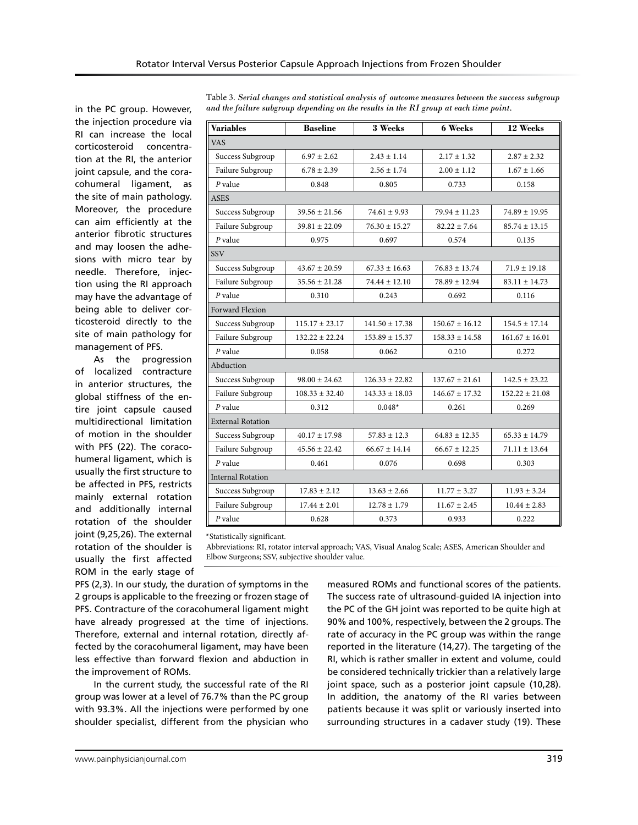in the PC group. However, the injection procedure via RI can increase the local corticosteroid concentration at the RI, the anterior joint capsule, and the coracohumeral ligament, as the site of main pathology. Moreover, the procedure can aim efficiently at the anterior fibrotic structures and may loosen the adhesions with micro tear by needle. Therefore, injection using the RI approach may have the advantage of being able to deliver corticosteroid directly to the site of main pathology for management of PFS.

As the progression of localized contracture in anterior structures, the global stiffness of the entire joint capsule caused multidirectional limitation of motion in the shoulder with PFS (22). The coracohumeral ligament, which is usually the first structure to be affected in PFS, restricts mainly external rotation and additionally internal rotation of the shoulder joint (9,25,26). The external rotation of the shoulder is usually the first affected ROM in the early stage of

| <b>Variables</b>         | <b>Baseline</b>    | 3 Weeks            | <b>6 Weeks</b>     | 12 Weeks           |  |  |  |
|--------------------------|--------------------|--------------------|--------------------|--------------------|--|--|--|
| <b>VAS</b>               |                    |                    |                    |                    |  |  |  |
| Success Subgroup         | $6.97 \pm 2.62$    | $2.43 \pm 1.14$    | $2.17 \pm 1.32$    | $2.87 \pm 2.32$    |  |  |  |
| Failure Subgroup         | $6.78 \pm 2.39$    | $2.56 \pm 1.74$    | $2.00 \pm 1.12$    | $1.67 \pm 1.66$    |  |  |  |
| $P$ value                | 0.848              | 0.805              | 0.733              | 0.158              |  |  |  |
| ASES                     |                    |                    |                    |                    |  |  |  |
| Success Subgroup         | $39.56 \pm 21.56$  | $74.61 \pm 9.93$   | $79.94 \pm 11.23$  | $74.89 \pm 19.95$  |  |  |  |
| Failure Subgroup         | $39.81 \pm 22.09$  | $76.30 \pm 15.27$  | $82.22 \pm 7.64$   | $85.74 \pm 13.15$  |  |  |  |
| $P$ value                | 0.975              | 0.697              | 0.574              | 0.135              |  |  |  |
| SSV                      |                    |                    |                    |                    |  |  |  |
| Success Subgroup         | $43.67 \pm 20.59$  | $67.33 \pm 16.63$  | $76.83 \pm 13.74$  | $71.9 \pm 19.18$   |  |  |  |
| Failure Subgroup         | $35.56 \pm 21.28$  | $74.44 \pm 12.10$  | $78.89 + 12.94$    | $83.11 \pm 14.73$  |  |  |  |
| $P$ value                | 0.310              | 0.243              | 0.692              | 0.116              |  |  |  |
| <b>Forward Flexion</b>   |                    |                    |                    |                    |  |  |  |
| Success Subgroup         | $115.17 \pm 23.17$ | $141.50 \pm 17.38$ | $150.67 \pm 16.12$ | $154.5 \pm 17.14$  |  |  |  |
| Failure Subgroup         | $132.22 \pm 22.24$ | $153.89 \pm 15.37$ | $158.33 \pm 14.58$ | $161.67 \pm 16.01$ |  |  |  |
| $P$ value                | 0.058              | 0.062              | 0.210              | 0.272              |  |  |  |
| Abduction                |                    |                    |                    |                    |  |  |  |
| Success Subgroup         | $98.00 + 24.62$    | $126.33 + 22.82$   | $137.67 + 21.61$   | $142.5 + 23.22$    |  |  |  |
| Failure Subgroup         | $108.33 \pm 32.40$ | $143.33 \pm 18.03$ | $146.67 + 17.32$   | $152.22 \pm 21.08$ |  |  |  |
| $P$ value                | 0.312              | $0.048*$           | 0.261              | 0.269              |  |  |  |
| <b>External Rotation</b> |                    |                    |                    |                    |  |  |  |
| Success Subgroup         | $40.17 \pm 17.98$  | $57.83 + 12.3$     | $64.83 + 12.35$    | $65.33 \pm 14.79$  |  |  |  |
| Failure Subgroup         | $45.56 + 22.42$    | $66.67 + 14.14$    | $66.67 + 12.25$    | $71.11 + 13.64$    |  |  |  |
| $P$ value                | 0.461              | 0.076              | 0.698              | 0.303              |  |  |  |
| <b>Internal Rotation</b> |                    |                    |                    |                    |  |  |  |
| Success Subgroup         | $17.83 \pm 2.12$   | $13.63 \pm 2.66$   | $11.77 \pm 3.27$   | $11.93 \pm 3.24$   |  |  |  |
| Failure Subgroup         | $17.44 \pm 2.01$   | $12.78 \pm 1.79$   | $11.67 \pm 2.45$   | $10.44 \pm 2.83$   |  |  |  |
| $P$ value                | 0.628              | 0.373              | 0.933              | 0.222              |  |  |  |

Table 3. *Serial changes and statistical analysis of outcome measures between the success subgroup and the failure subgroup depending on the results in the RI group at each time point.*

\*Statistically significant.

Abbreviations: RI, rotator interval approach; VAS, Visual Analog Scale; ASES, American Shoulder and Elbow Surgeons; SSV, subjective shoulder value.

PFS (2,3). In our study, the duration of symptoms in the 2 groups is applicable to the freezing or frozen stage of PFS. Contracture of the coracohumeral ligament might have already progressed at the time of injections. Therefore, external and internal rotation, directly affected by the coracohumeral ligament, may have been less effective than forward flexion and abduction in the improvement of ROMs.

In the current study, the successful rate of the RI group was lower at a level of 76.7% than the PC group with 93.3%. All the injections were performed by one shoulder specialist, different from the physician who measured ROMs and functional scores of the patients. The success rate of ultrasound-guided IA injection into the PC of the GH joint was reported to be quite high at 90% and 100%, respectively, between the 2 groups. The rate of accuracy in the PC group was within the range reported in the literature (14,27). The targeting of the RI, which is rather smaller in extent and volume, could be considered technically trickier than a relatively large joint space, such as a posterior joint capsule (10,28). In addition, the anatomy of the RI varies between patients because it was split or variously inserted into surrounding structures in a cadaver study (19). These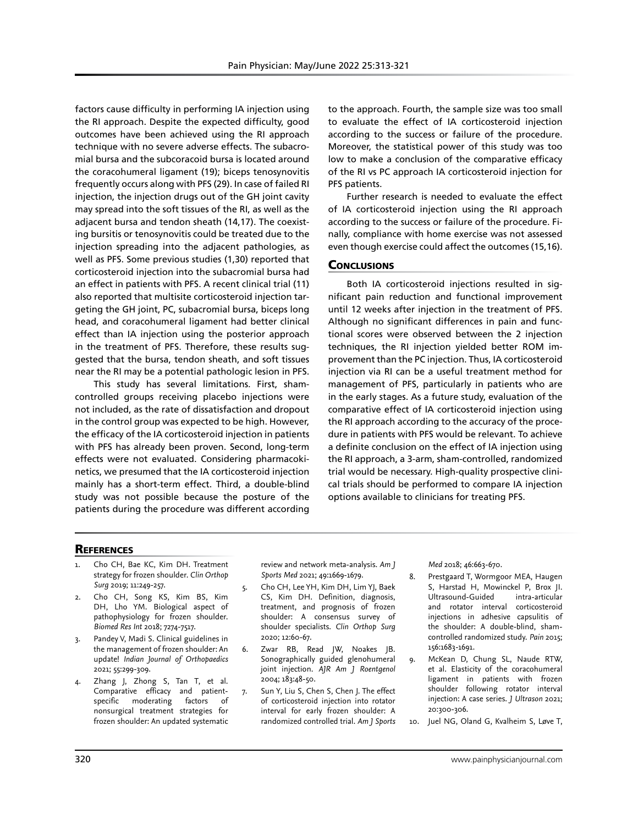factors cause difficulty in performing IA injection using the RI approach. Despite the expected difficulty, good outcomes have been achieved using the RI approach technique with no severe adverse effects. The subacromial bursa and the subcoracoid bursa is located around the coracohumeral ligament (19); biceps tenosynovitis frequently occurs along with PFS (29). In case of failed RI injection, the injection drugs out of the GH joint cavity may spread into the soft tissues of the RI, as well as the adjacent bursa and tendon sheath (14,17). The coexisting bursitis or tenosynovitis could be treated due to the injection spreading into the adjacent pathologies, as well as PFS. Some previous studies (1,30) reported that corticosteroid injection into the subacromial bursa had an effect in patients with PFS. A recent clinical trial (11) also reported that multisite corticosteroid injection targeting the GH joint, PC, subacromial bursa, biceps long head, and coracohumeral ligament had better clinical effect than IA injection using the posterior approach in the treatment of PFS. Therefore, these results suggested that the bursa, tendon sheath, and soft tissues near the RI may be a potential pathologic lesion in PFS.

This study has several limitations. First, shamcontrolled groups receiving placebo injections were not included, as the rate of dissatisfaction and dropout in the control group was expected to be high. However, the efficacy of the IA corticosteroid injection in patients with PFS has already been proven. Second, long-term effects were not evaluated. Considering pharmacokinetics, we presumed that the IA corticosteroid injection mainly has a short-term effect. Third, a double-blind study was not possible because the posture of the patients during the procedure was different according

to the approach. Fourth, the sample size was too small to evaluate the effect of IA corticosteroid injection according to the success or failure of the procedure. Moreover, the statistical power of this study was too low to make a conclusion of the comparative efficacy of the RI vs PC approach IA corticosteroid injection for PFS patients.

Further research is needed to evaluate the effect of IA corticosteroid injection using the RI approach according to the success or failure of the procedure. Finally, compliance with home exercise was not assessed even though exercise could affect the outcomes (15,16).

# **CONCLUSIONS**

Both IA corticosteroid injections resulted in significant pain reduction and functional improvement until 12 weeks after injection in the treatment of PFS. Although no significant differences in pain and functional scores were observed between the 2 injection techniques, the RI injection yielded better ROM improvement than the PC injection. Thus, IA corticosteroid injection via RI can be a useful treatment method for management of PFS, particularly in patients who are in the early stages. As a future study, evaluation of the comparative effect of IA corticosteroid injection using the RI approach according to the accuracy of the procedure in patients with PFS would be relevant. To achieve a definite conclusion on the effect of IA injection using the RI approach, a 3-arm, sham-controlled, randomized trial would be necessary. High-quality prospective clinical trials should be performed to compare IA injection options available to clinicians for treating PFS.

#### **REFERENCES**

- 1. Cho CH, Bae KC, Kim DH. Treatment strategy for frozen shoulder. *Clin Orthop Surg* 2019; 11:249-257.
- 2. Cho CH, Song KS, Kim BS, Kim DH, Lho YM. Biological aspect of pathophysiology for frozen shoulder. *Biomed Res Int* 2018; 7274-7517.
- 3. Pandey V, Madi S. Clinical guidelines in the management of frozen shoulder: An update! *Indian Journal of Orthopaedics* 2021; 55:299-309.
- 4. Zhang J, Zhong S, Tan T, et al. Comparative efficacy and patientspecific moderating factors of nonsurgical treatment strategies for frozen shoulder: An updated systematic

review and network meta-analysis. *Am J Sports Med* 2021; 49:1669-1679.

- 5. Cho CH, Lee YH, Kim DH, Lim YJ, Baek CS, Kim DH. Definition, diagnosis, treatment, and prognosis of frozen shoulder: A consensus survey of shoulder specialists. *Clin Orthop Surg* 2020; 12:60-67.
- 6. Zwar RB, Read JW, Noakes JB. Sonographically guided glenohumeral joint injection. *AJR Am J Roentgenol* 2004; 183:48-50.
- 7. Sun Y, Liu S, Chen S, Chen J. The effect of corticosteroid injection into rotator interval for early frozen shoulder: A randomized controlled trial. *Am J Sports*

*Med* 2018; 46:663-670.

- 8. Prestgaard T, Wormgoor MEA, Haugen S, Harstad H, Mowinckel P, Brox JI. Ultrasound-Guided intra-articular and rotator interval corticosteroid injections in adhesive capsulitis of the shoulder: A double-blind, shamcontrolled randomized study. *Pain* 2015; 156:1683-1691.
- 9. McKean D, Chung SL, Naude RTW, et al. Elasticity of the coracohumeral ligament in patients with frozen shoulder following rotator interval injection: A case series. *J Ultrason* 2021; 20:300-306.
- 10. Juel NG, Oland G, Kvalheim S, Løve T,